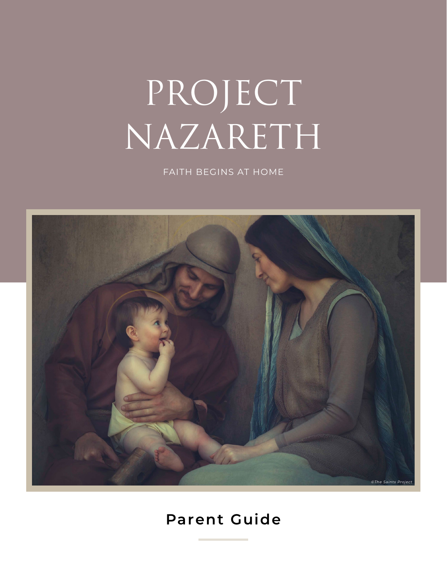# PROJECT NAZARETH

FAITH BEGINS AT HOME



## **Parent Guide**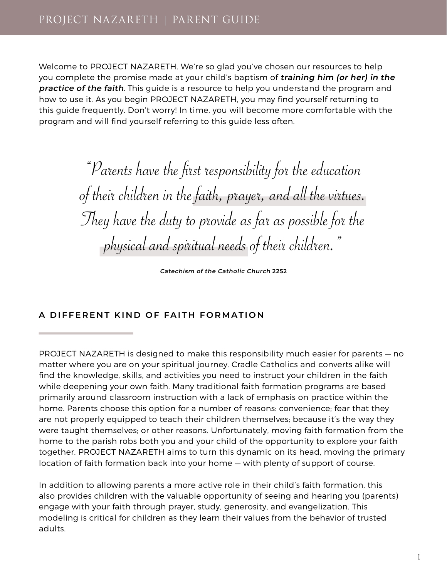Welcome to PROJECT NAZARETH. We're so glad you've chosen our resources to help you complete the promise made at your child's baptism of **training him (or her) in the practice of the faith**. This guide is a resource to help you understand the program and how to use it. As you begin PROJECT NAZARETH, you may find yourself returning to this guide frequently. Don't worry! In time, you will become more comfortable with the program and will find yourself referring to this guide less often.

> "Parents have the first responsibility for the education of their children in the faith, prayer, and all the virtues. They have the duty to provide as far as possible for the physical and spiritual needs of their children."

> > **Catechism of the Catholic Church 2252**

#### **A DIFFERENT KIND OF FAITH FORMATION**

PROJECT NAZARETH is designed to make this responsibility much easier for parents — no matter where you are on your spiritual journey. Cradle Catholics and converts alike will find the knowledge, skills, and activities you need to instruct your children in the faith while deepening your own faith. Many traditional faith formation programs are based primarily around classroom instruction with a lack of emphasis on practice within the home. Parents choose this option for a number of reasons: convenience; fear that they are not properly equipped to teach their children themselves; because it's the way they were taught themselves; or other reasons. Unfortunately, moving faith formation from the home to the parish robs both you and your child of the opportunity to explore your faith together. PROJECT NAZARETH aims to turn this dynamic on its head, moving the primary location of faith formation back into your home — with plenty of support of course.

In addition to allowing parents a more active role in their child's faith formation, this also provides children with the valuable opportunity of seeing and hearing you (parents) engage with your faith through prayer, study, generosity, and evangelization. This modeling is critical for children as they learn their values from the behavior of trusted adults.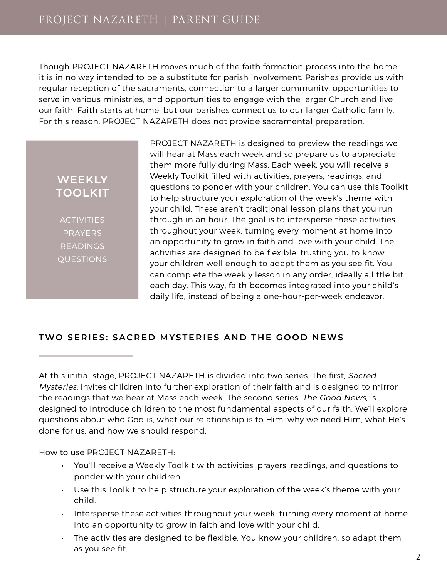Though PROJECT NAZARETH moves much of the faith formation process into the home, it is in no way intended to be a substitute for parish involvement. Parishes provide us with regular reception of the sacraments, connection to a larger community, opportunities to serve in various ministries, and opportunities to engage with the larger Church and live our faith. Faith starts at home, but our parishes connect us to our larger Catholic family. For this reason, PROJECT NAZARETH does not provide sacramental preparation.

### **WEEKLY TOOLKIT**

ACTIVITIES PRAYERS READINGS **QUESTIONS** 

PROJECT NAZARETH is designed to preview the readings we will hear at Mass each week and so prepare us to appreciate them more fully during Mass. Each week, you will receive a Weekly Toolkit filled with activities, prayers, readings, and questions to ponder with your children. You can use this Toolkit to help structure your exploration of the week's theme with your child. These aren't traditional lesson plans that you run through in an hour. The goal is to intersperse these activities throughout your week, turning every moment at home into an opportunity to grow in faith and love with your child. The activities are designed to be flexible, trusting you to know your children well enough to adapt them as you see fit. You can complete the weekly lesson in any order, ideally a little bit each day. This way, faith becomes integrated into your child's daily life, instead of being a one-hour-per-week endeavor.

#### **TWO SERIES: SACRED MYSTERIES AND THE GOOD NEWS**

At this initial stage, PROJECT NAZARETH is divided into two series. The first, Sacred Mysteries, invites children into further exploration of their faith and is designed to mirror the readings that we hear at Mass each week. The second series, The Good News, is designed to introduce children to the most fundamental aspects of our faith. We'll explore questions about who God is, what our relationship is to Him, why we need Him, what He's done for us, and how we should respond.

How to use PROJECT NAZARETH:

- You'll receive a Weekly Toolkit with activities, prayers, readings, and questions to ponder with your children.
- Use this Toolkit to help structure your exploration of the week's theme with your child.
- Intersperse these activities throughout your week, turning every moment at home into an opportunity to grow in faith and love with your child.
- The activities are designed to be flexible. You know your children, so adapt them as you see fit.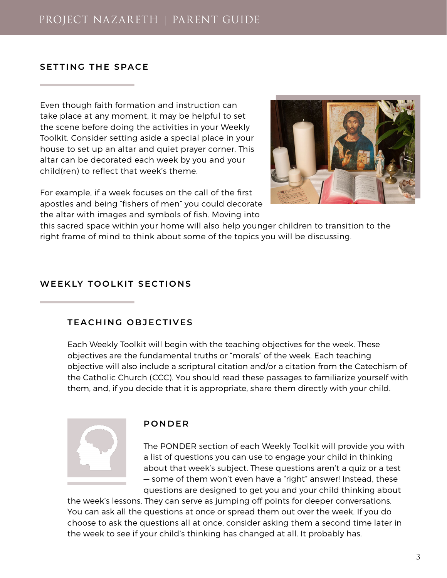#### **SETTING THE SPACE**

Even though faith formation and instruction can take place at any moment, it may be helpful to set the scene before doing the activities in your Weekly Toolkit. Consider setting aside a special place in your house to set up an altar and quiet prayer corner. This altar can be decorated each week by you and your child(ren) to reflect that week's theme.

For example, if a week focuses on the call of the first apostles and being "fishers of men" you could decorate the altar with images and symbols of fish. Moving into



this sacred space within your home will also help younger children to transition to the right frame of mind to think about some of the topics you will be discussing.

#### **WEEKLY TOOLKIT SECTIONS**

#### **T E A C H I N G O B J E C T I VE S**

Each Weekly Toolkit will begin with the teaching objectives for the week. These objectives are the fundamental truths or "morals" of the week. Each teaching objective will also include a scriptural citation and/or a citation from the Catechism of the Catholic Church (CCC). You should read these passages to familiarize yourself with them, and, if you decide that it is appropriate, share them directly with your child.



#### **PONDER**

The PONDER section of each Weekly Toolkit will provide you with a list of questions you can use to engage your child in thinking about that week's subject. These questions aren't a quiz or a test — some of them won't even have a "right" answer! Instead, these questions are designed to get you and your child thinking about

the week's lessons. They can serve as jumping off points for deeper conversations. You can ask all the questions at once or spread them out over the week. If you do choose to ask the questions all at once, consider asking them a second time later in the week to see if your child's thinking has changed at all. It probably has.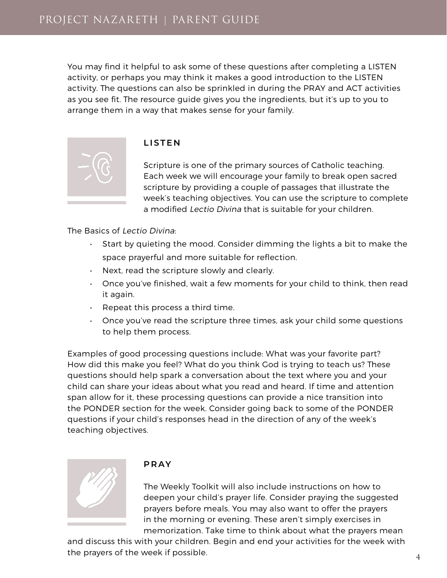You may find it helpful to ask some of these questions after completing a LISTEN activity, or perhaps you may think it makes a good introduction to the LISTEN activity. The questions can also be sprinkled in during the PRAY and ACT activities as you see fit. The resource guide gives you the ingredients, but it's up to you to arrange them in a way that makes sense for your family.



#### **L I S T E N**

Scripture is one of the primary sources of Catholic teaching. Each week we will encourage your family to break open sacred scripture by providing a couple of passages that illustrate the week's teaching objectives. You can use the scripture to complete a modified Lectio Divina that is suitable for your children.

The Basics of Lectio Divina:

- Start by quieting the mood. Consider dimming the lights a bit to make the space prayerful and more suitable for reflection.
- Next, read the scripture slowly and clearly.
- Once you've finished, wait a few moments for your child to think, then read it again.
- Repeat this process a third time.
- Once you've read the scripture three times, ask your child some questions to help them process.

Examples of good processing questions include: What was your favorite part? How did this make you feel? What do you think God is trying to teach us? These questions should help spark a conversation about the text where you and your child can share your ideas about what you read and heard. If time and attention span allow for it, these processing questions can provide a nice transition into the PONDER section for the week. Consider going back to some of the PONDER questions if your child's responses head in the direction of any of the week's teaching objectives.



#### **P R AY**

The Weekly Toolkit will also include instructions on how to deepen your child's prayer life. Consider praying the suggested prayers before meals. You may also want to offer the prayers in the morning or evening. These aren't simply exercises in memorization. Take time to think about what the prayers mean

and discuss this with your children. Begin and end your activities for the week with the prayers of the week if possible.